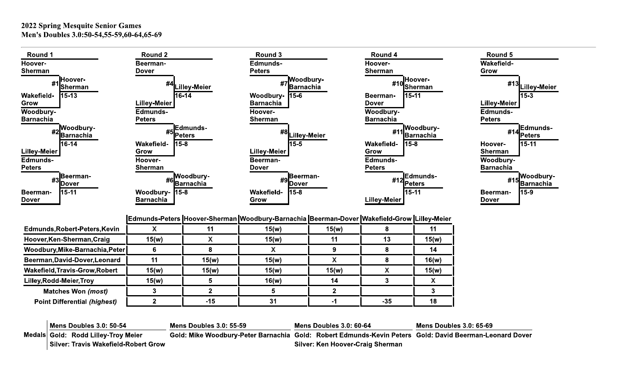

### Edmunds-Peters Hoover-Sherman Woodbury-Barnachia Beerman-Dover Wakefield-Grow Lilley-Meier

| <b>Edmunds, Robert-Peters, Kevin</b>  |       |       | 15(w) | 15(w) |       |       |
|---------------------------------------|-------|-------|-------|-------|-------|-------|
| Hoover, Ken-Sherman, Craig            | 15(w) |       | 15(w) | 11    | 13    | 15(w) |
| Woodbury, Mike-Barnachia, Peter       |       |       |       |       |       | 14    |
| Beerman, David-Dover, Leonard         |       | 15(w) | 15(w) |       |       | 16(w) |
| <b>Wakefield, Travis-Grow, Robert</b> | 15(w) | 15(w) | 15(w) | 15(w) |       | 15(w) |
| Lilley, Rodd-Meier, Troy              | 15(w) |       | 16(w) | 14    |       |       |
| <b>Matches Won (most)</b>             |       |       |       |       |       |       |
| <b>Point Differential (highest)</b>   |       | -15   | 31    |       | $-35$ | 18    |

**Mens Doubles 3.0: 65-69** 

Mens Doubles 3.0: 50-54 Medals Gold: Rodd Lilley-Troy Meier **Mens Doubles 3.0: 55-59** 

Mens Doubles 3.0: 60-64

Gold: Mike Woodbury-Peter Barnachia Gold: Robert Edmunds-Kevin Peters Gold: David Beerman-Leonard Dover

**Silver: Travis Wakefield-Robert Grow** 

**Silver: Ken Hoover-Craig Sherman**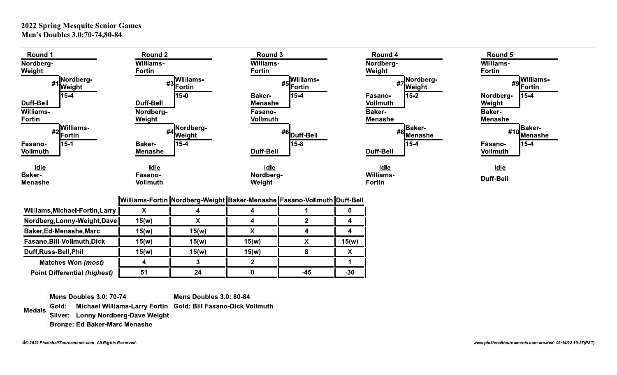

Matches Won (most)<br>
Point Differential (highest)<br>
Point Differential (highest)<br>
Bedals (Mens Doubles 3.0: 70-74<br>
Medals (Sold: Michael Williams-Larry Fortin Gold: Bill Fasano-D<br>
Silver: Lonny Nordberg-Dave Weight<br>
Bronze: **Medals** Gold: Michael Williams-Larry Fortin Gold: Bill Fasano-Dick Vollmuth<br>
Silver: Lonny Nordberg-Dave Weight<br>
Bronze: Ed Baker-Marc Menashe<br>
A© 2022 PickleballTournaments.com. All Rights Reserved.<br>
A© 2022 PickleballT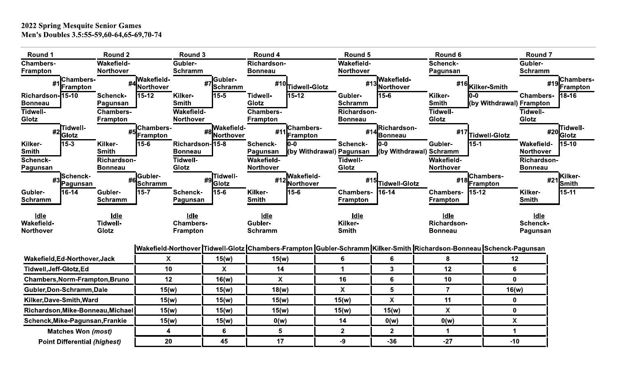| Round 1           |                                        | Round 2            |                                                    | Round 3           |                                | Round 4           |                                                 | Round 5           |                                          | Round 6            |                              | <b>Round 7</b>     |                              |
|-------------------|----------------------------------------|--------------------|----------------------------------------------------|-------------------|--------------------------------|-------------------|-------------------------------------------------|-------------------|------------------------------------------|--------------------|------------------------------|--------------------|------------------------------|
| <b>Chambers-</b>  |                                        | <b>Wakefield-</b>  |                                                    | Gubler-           |                                | Richardson-       |                                                 | <b>Wakefield-</b> |                                          | <b>Schenck-</b>    |                              | Gubler-            |                              |
| Frampton          |                                        | <b>Northover</b>   |                                                    | <b>Schramm</b>    |                                | <b>Bonneau</b>    |                                                 | Northover         |                                          | <b>Pagunsan</b>    |                              | <b>Schramm</b>     |                              |
|                   | <b>Chambers-</b><br>#1Fra <u>mpton</u> |                    | <b>Wakefield-</b><br>Northover                     |                   | Gubler-<br><b>Schramm</b>      |                   | #10 <mark>Tidwe<u>ll-Glotz</u></mark>           | #13               | <b>Wakefield-</b><br>Northover           | #16                | <b>Kilker-Smith</b>          | #19                | <b>Chambers-</b><br>Frampton |
| Richardson-15-10  |                                        | <b>Schenck-</b>    | 15-12                                              | Kilker-           | 15-5                           | Tidwell-          | $15 - 12$                                       | Gubler-           | $15-6$                                   | Kilker-            | IO-0                         | <b>Chambers-</b>   | 18-16                        |
| <b>Bonneau</b>    |                                        | Pagunsan           |                                                    | <b>Smith</b>      |                                | Glotz             |                                                 | <b>Schramm</b>    |                                          | <b>Smith</b>       | (by Withdrawal) Frampton     |                    |                              |
| Tidwell-          |                                        | <b>Chambers-</b>   |                                                    | <b>Wakefield-</b> |                                | <b>Chambers-</b>  |                                                 | Richardson-       |                                          | <b>Tidwell-</b>    |                              | Tidwell-           |                              |
| Glotz             |                                        | <b>Frampton</b>    |                                                    | <b>Northover</b>  |                                | Frampton          |                                                 | <b>Bonneau</b>    |                                          | Glotz              |                              | Glotz              |                              |
|                   | Tidwell-<br>#2 <b>Glotz</b>            |                    | <b>Chambers-</b><br><sup>#5</sup> Fra <u>mpton</u> | #8                | <b>Wakefield-</b><br>Northover |                   | <b>Chambers-</b><br>#11 Frampton                |                   | Richardson-<br>#14 <sup>  </sup> Bonneau | #1                 | Tidwell-Glotz                | #20                | Tidwell-<br>Glotz            |
| Kilker-           | $15 - 3$                               | Kilker-            | $15 - 6$                                           | Richardson-115-8  |                                | Schenck-          | IO-0                                            | <b>Schenck-</b>   | <b>0-0</b>                               | Gubler-            | $15 - 1$                     | <b>Wakefield-</b>  | $15-10$                      |
| <b>Smith</b>      |                                        | <b>Smith</b>       |                                                    | <b>Bonneau</b>    |                                | Pagunsan          | <b>Withdrawal)</b><br>l(by                      | , Pagunsan        | (by Withdrawal) Schramm                  |                    |                              | <b>Northover</b>   |                              |
| <b>Schenck-</b>   |                                        | <b>Richardson-</b> |                                                    | Tidwell-          |                                | <b>Wakefield-</b> |                                                 | Tidwell-          |                                          | <b>Wakefield-</b>  |                              | <b>Richardson-</b> |                              |
| Pagunsan          |                                        | <b>Bonneau</b>     |                                                    | Glotz             |                                | <b>Northover</b>  |                                                 | Glotz             |                                          | <b>Northover</b>   |                              | <b>Bonneau</b>     |                              |
|                   | Schenck-<br>#3 Pagunsan                |                    | <b>Gubler-</b><br>#6 <b>S</b> chramm               | #9                | Tidwell-<br>Glotz              |                   | <b>Wakefield-</b><br>#12 <mark>Northover</mark> |                   | #15 <mark> </mark> Tidw <u>ell-Glotz</u> | #18                | <b>Chambers-</b><br>Frampton | #21                | <b>Kilker-</b><br>Smith      |
| Gubler-           | 16-14                                  | Gubler-            | $15 - 7$                                           | <b>Schenck-</b>   | $15 - 6$                       | Kilker-           | 15-6                                            | <b>Chambers-</b>  | 16-14                                    | <b>Chambers-</b>   | 15-12                        | Kilker-            | $15 - 11$                    |
| Schramm           |                                        | <b>Schramm</b>     |                                                    | Pagunsan          |                                | <b>Smith</b>      |                                                 | Frampton          |                                          | Frampton           |                              | <b>Smith</b>       |                              |
|                   |                                        |                    |                                                    |                   |                                |                   |                                                 |                   |                                          |                    |                              |                    |                              |
| <b>Idle</b>       |                                        | <b>Idle</b>        |                                                    | <b>Idle</b>       |                                | <b>Idle</b>       |                                                 | Idle              |                                          | <b>Idle</b>        |                              | <b>Idle</b>        |                              |
| <b>Wakefield-</b> |                                        | Tidwell-           |                                                    | <b>Chambers-</b>  |                                | Gubler-           |                                                 | Kilker-           |                                          | <b>Richardson-</b> |                              | <b>Schenck-</b>    |                              |
| Northover         |                                        | Glotz              |                                                    | <b>Frampton</b>   |                                | <b>Schramm</b>    |                                                 | <b>Smith</b>      |                                          | <b>Bonneau</b>     |                              | Pagunsan           |                              |

Wakefield-Northover Tidwell-Glotz Chambers-Frampton Gubler-Schramm Kilker-Smith Richardson-Bonneau Schenck-Pagunsan

| Wakefield, Ed-Northover, Jack         |       | 15(w) | 15(w) |       |       |       |       |
|---------------------------------------|-------|-------|-------|-------|-------|-------|-------|
| Tidwell, Jeff-Glotz, Ed               | 10    |       | 14    |       |       |       |       |
| <b>Chambers, Norm-Frampton, Bruno</b> | 12    | 16(w) |       | 16    |       | 10    |       |
| Gubler, Don-Schramm, Dale             | 15(w) | 15(w) | 18(w) |       |       |       | 16(w) |
| Kilker, Dave-Smith, Ward              | 15(w) | 15(w) | 15(w) | 15(w) |       |       |       |
| Richardson, Mike-Bonneau, Michael     | 15(w) | 15(w) | 15(w) | 15(w) | 15(w) |       |       |
| Schenck, Mike-Pagunsan, Frankie       | 15(w) | 15(w) | 0(w)  | 14    | 0(w)  | 0(w)  |       |
| <b>Matches Won (most)</b>             |       |       |       |       |       |       |       |
| <b>Point Differential (highest)</b>   | 20    | 45    |       |       | $-36$ | $-27$ | $-10$ |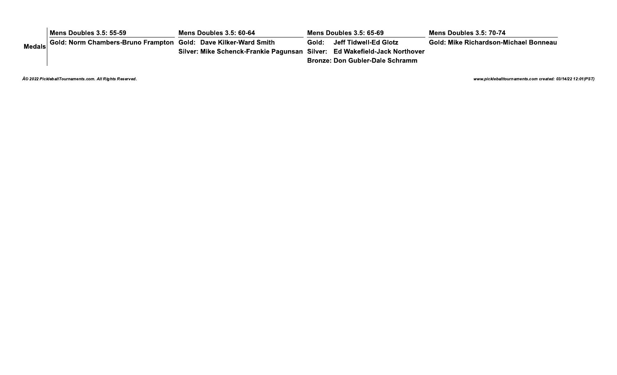| Mens Doubles 3.5: 55-59                                                | Mens Doubles 3.5: 60-64                                                   |       | <b>Mens Doubles 3.5: 65-69</b>         | Mens Doubles 3.5: 70-74                      |
|------------------------------------------------------------------------|---------------------------------------------------------------------------|-------|----------------------------------------|----------------------------------------------|
| Medals Gold: Norm Chambers-Bruno Frampton Gold: Dave Kilker-Ward Smith |                                                                           | Gold: | Jeff Tidwell-Ed Glotz                  | <b>Gold: Mike Richardson-Michael Bonneau</b> |
|                                                                        | Silver: Mike Schenck-Frankie Pagunsan Silver: Ed Wakefield-Jack Northover |       |                                        |                                              |
|                                                                        |                                                                           |       | <b>Bronze: Don Gubler-Dale Schramm</b> |                                              |

www.pickleballtournaments.com created: 03/14/22 12:01(PST)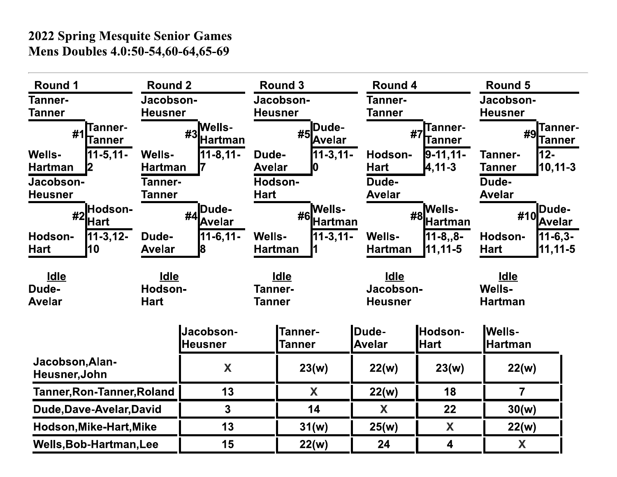# 2022 Spring Mesquite Senior Games Mens Doubles 4.0:50-54,60-64,65-69

| <b>Round 1</b>                         | <b>Round 2</b>                        |                                       |                          | <b>Round 3</b>               | <b>Round 4</b>                             |                                       | <b>Round 5</b>                                 |                             |
|----------------------------------------|---------------------------------------|---------------------------------------|--------------------------|------------------------------|--------------------------------------------|---------------------------------------|------------------------------------------------|-----------------------------|
| Tanner-                                | Jacobson-                             |                                       |                          | Jacobson-                    | Tanner-                                    |                                       | Jacobson-                                      |                             |
| <b>Tanner</b>                          | <b>Heusner</b>                        |                                       | <b>Heusner</b>           |                              | <b>Tanner</b>                              |                                       | <b>Heusner</b>                                 |                             |
| #1 <sup>Tanner-</sup><br><b>Tanner</b> |                                       | <b>Wells-</b><br>#3<br><b>Hartman</b> |                          | Dude-<br>#5<br><b>Avelar</b> |                                            | Tanner-<br>#7<br>Tanner               |                                                | <b>Tanner-</b><br>#9 Tanner |
| <b>Wells-</b><br>$11 - 5, 11 -$        | <b>Wells-</b>                         | 11-8,11-                              | Dude-                    | $ 11-3, 11-$                 | Hodson-                                    | 9-11,11-                              | Tanner-                                        | 12-                         |
| <b>Hartman</b>                         | <b>Hartman</b>                        |                                       | <b>Avelar</b>            | 10                           | <b>Hart</b>                                | 4,11-3                                | <b>Tanner</b>                                  | $10, 11 - 3$                |
| Jacobson-                              | Tanner-                               |                                       |                          | Hodson-                      | Dude-                                      |                                       | Dude-                                          |                             |
| <b>Heusner</b>                         | <b>Tanner</b>                         |                                       | <b>Hart</b>              |                              | <b>Avelar</b>                              |                                       | <b>Avelar</b>                                  |                             |
| #2 <b>Hodson-</b><br>Hart              |                                       | Dude-<br>#4<br>Avelar                 |                          | Wells-<br>#6<br>Hartman      |                                            | <b>Wells-</b><br>#8<br><b>Hartman</b> | #10                                            | Dude-<br>Avelar             |
| $11 - 3, 12 -$<br>Hodson-              | Dude-                                 | $11 - 6, 11 -$                        | <b>Wells-</b>            | $11-3, 11-$                  | <b>Wells-</b>                              | $11 - 8, 8 -$                         | Hodson-                                        | $11 - 6, 3 -$               |
| l10<br><b>Hart</b>                     | <b>Avelar</b>                         | 8                                     |                          | <b>Hartman</b>               | <b>Hartman</b>                             | $11, 11 - 5$                          | <b>Hart</b>                                    | $11, 11 - 5$                |
|                                        |                                       |                                       |                          |                              |                                            |                                       |                                                |                             |
| <u>Idle</u><br>Dude-<br><b>Avelar</b>  | <u>Idle</u><br>Hodson-<br><b>Hart</b> |                                       | Tanner-<br><b>Tanner</b> | <u>Idle</u>                  | <u>Idle</u><br>Jacobson-<br><b>Heusner</b> |                                       | <u>Idle</u><br><b>Wells-</b><br><b>Hartman</b> |                             |
|                                        |                                       | <b>Jacobson-</b><br><b>Heusner</b>    |                          | lTanner-<br><b>Tanner</b>    | <b>I</b> Dude-<br><b>Avelar</b>            | Hodson-<br>Hart                       | <b>I</b> Wells-<br>Hartman                     |                             |
| Jacobson, Alan-<br>Heusner, John       |                                       | X                                     |                          | 23(w)                        | 22(w)                                      | 23(w)                                 | 22(w)                                          |                             |
| Tanner, Ron-Tanner, Roland             |                                       | 13                                    |                          | X                            | 22(w)                                      | 18                                    | $\overline{\mathbf{7}}$                        |                             |
| Dude, Dave-Avelar, David               |                                       | $\overline{\mathbf{3}}$               |                          | 14                           | X                                          | 22                                    | 30(w)                                          |                             |
| Hodson, Mike-Hart, Mike                |                                       | 13                                    |                          | 31(w)                        | 25(w)                                      | X                                     | 22(w)                                          |                             |
| <b>Wells, Bob-Hartman, Lee</b>         |                                       | 15                                    |                          | 22(w)                        | 24                                         | $\overline{\mathbf{4}}$               | X                                              |                             |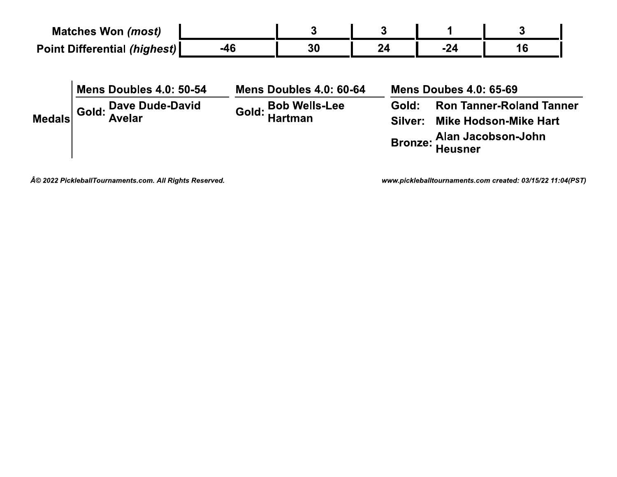| <b>Matches Won (most)</b>           |    |  |  |
|-------------------------------------|----|--|--|
| <b>Point Differential (highest)</b> | Jυ |  |  |

|               | Mens Doubles 4.0: 50-54                 | <b>Mens Doubles 4.0: 60-64</b>        | <b>Mens Doubes 4.0: 65-69</b>                                             |
|---------------|-----------------------------------------|---------------------------------------|---------------------------------------------------------------------------|
| <b>Medals</b> | Gold: Dave Dude-David<br>  Gold: Avelar | <b>Gold: Bob Wells-Lee</b><br>Hartman | <b>Ron Tanner-Roland Tanner</b><br>Gold:<br>Silver: Mike Hodson-Mike Hart |
|               |                                         |                                       | <b>Bronze: Alan Jacobson-John<br/>Heusner</b>                             |

www.pickleballtournaments.com created: 03/15/22 11:04(PST)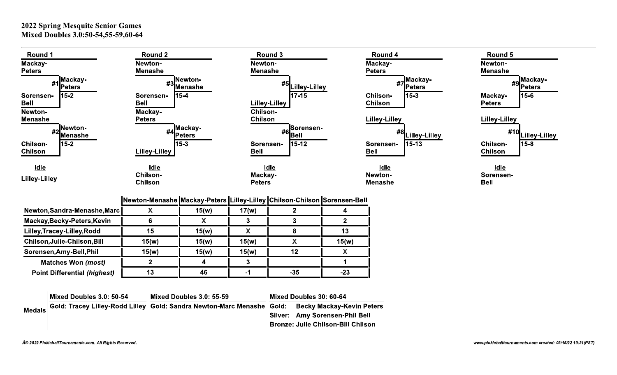| Round 3<br>Round 1<br>Mackay-<br>Mackay-<br>Newton-<br>Newton-<br>Newton-<br><b>Menashe</b><br><b>Menashe</b><br><b>Menashe</b><br><b>Peters</b><br>Newton-<br>,Mackay-<br>Mackay-<br>Mackay-<br>#7 <sup>  vite</sup><br> Peters<br>#3Menashe<br>#5<br>#1Peters<br>#9 <b>P</b> eters<br>Lilley-Lilley<br>$15 - 2$<br>$15 - 4$<br>$15-6$<br>$17 - 15$<br>$15 - 3$<br>Chilson-<br>Mackay-<br>Sorensen-<br><b>Lilley-Lilley</b><br><b>Bell</b><br><b>Chilson</b><br><b>Peters</b><br><b>Chilson-</b><br>Mackay-<br><b>Chilson</b><br><b>Lilley-Lilley</b><br><b>Peters</b><br><b>Lilley-Lilley</b><br>Mackay-<br>Newton-<br>Sorensen-<br>#10<br>#6<br>#8<br>#:<br>Menashe<br>Peters<br>′Bell<br>illey-Lilley.<br><b>Lilley-Lilley</b><br>$15 - 2$<br>$15 - 12$<br>$15 - 3$<br>$15 - 13$<br>$15 - 8$<br>Chilson-<br>Sorensen-<br>Sorensen-<br><b>Lilley-Lilley</b><br><b>Bell</b><br><b>Bell</b><br><b>Chilson</b><br><u>Idle</u><br><u>Idle</u><br><u>Idle</u><br><u>Idle</u><br><b>Idle</b><br>Chilson-<br>Mackay-<br>Newton-<br>Sorensen-<br><b>Chilson</b><br><b>Menashe</b><br><b>Bell</b><br><b>Peters</b><br>Newton-Menashe Mackay-Peters Lilley-Lilley Chilson-Chilson Sorensen-Bell<br>Newton, Sandra-Menashe, Marc<br>X<br>$\overline{2}$<br>15(w)<br>17(w)<br>$\boldsymbol{4}$<br>X<br>3 <sup>1</sup><br>$2^{\circ}$<br>Mackay, Becky-Peters, Kevin<br>6<br>$\mathbf{3}$<br>$\boldsymbol{\mathsf{X}}$<br>13<br>Lilley, Tracey-Lilley, Rodd<br>15<br>15(w)<br>8<br>X<br>Chilson, Julie-Chilson, Bill<br>15(w)<br>15(w)<br>15(w)<br>15(w)<br>12<br>$\boldsymbol{\mathsf{X}}$<br>Sorensen, Amy-Bell, Phil<br>15(w)<br>15(w)<br>15(w)<br>2 <sub>2</sub><br>$\mathbf{3}$<br><b>Matches Won (most)</b><br>4<br>-1<br>13<br>46<br>$-1$<br>$-35$<br>$-23$<br><b>Point Differential (highest)</b><br>Mixed Doubles 3.0: 50-54<br>Mixed Doubles 30: 60-64<br>Mixed Doubles 3.0: 55-59<br>Gold: Tracey Lilley-Rodd Lilley Gold: Sandra Newton-Marc Menashe Gold:<br><b>Becky Mackay-Kevin Peters</b><br><b>Medals</b><br>Silver: Amy Sorensen-Phil Bell<br><b>Bronze: Julie Chilson-Bill Chilson</b> | © 2022 PickleballTournaments.com. All Rights Reserved.     | Round 2 |  |  | Round 4 | Round 5 |
|--------------------------------------------------------------------------------------------------------------------------------------------------------------------------------------------------------------------------------------------------------------------------------------------------------------------------------------------------------------------------------------------------------------------------------------------------------------------------------------------------------------------------------------------------------------------------------------------------------------------------------------------------------------------------------------------------------------------------------------------------------------------------------------------------------------------------------------------------------------------------------------------------------------------------------------------------------------------------------------------------------------------------------------------------------------------------------------------------------------------------------------------------------------------------------------------------------------------------------------------------------------------------------------------------------------------------------------------------------------------------------------------------------------------------------------------------------------------------------------------------------------------------------------------------------------------------------------------------------------------------------------------------------------------------------------------------------------------------------------------------------------------------------------------------------------------------------------------------------------------------------------------------------------------------------------------------------------------------------------------------------------------------------------------------------------------------------------------------|------------------------------------------------------------|---------|--|--|---------|---------|
| <b>Peters</b><br>Sorensen-<br><b>Bell</b><br>Newton-<br><b>Menashe</b><br>Chilson-<br><b>Chilson</b><br><b>Lilley-Lilley</b>                                                                                                                                                                                                                                                                                                                                                                                                                                                                                                                                                                                                                                                                                                                                                                                                                                                                                                                                                                                                                                                                                                                                                                                                                                                                                                                                                                                                                                                                                                                                                                                                                                                                                                                                                                                                                                                                                                                                                                     |                                                            |         |  |  |         |         |
|                                                                                                                                                                                                                                                                                                                                                                                                                                                                                                                                                                                                                                                                                                                                                                                                                                                                                                                                                                                                                                                                                                                                                                                                                                                                                                                                                                                                                                                                                                                                                                                                                                                                                                                                                                                                                                                                                                                                                                                                                                                                                                  |                                                            |         |  |  |         |         |
|                                                                                                                                                                                                                                                                                                                                                                                                                                                                                                                                                                                                                                                                                                                                                                                                                                                                                                                                                                                                                                                                                                                                                                                                                                                                                                                                                                                                                                                                                                                                                                                                                                                                                                                                                                                                                                                                                                                                                                                                                                                                                                  |                                                            |         |  |  |         |         |
|                                                                                                                                                                                                                                                                                                                                                                                                                                                                                                                                                                                                                                                                                                                                                                                                                                                                                                                                                                                                                                                                                                                                                                                                                                                                                                                                                                                                                                                                                                                                                                                                                                                                                                                                                                                                                                                                                                                                                                                                                                                                                                  |                                                            |         |  |  |         |         |
|                                                                                                                                                                                                                                                                                                                                                                                                                                                                                                                                                                                                                                                                                                                                                                                                                                                                                                                                                                                                                                                                                                                                                                                                                                                                                                                                                                                                                                                                                                                                                                                                                                                                                                                                                                                                                                                                                                                                                                                                                                                                                                  |                                                            |         |  |  |         |         |
|                                                                                                                                                                                                                                                                                                                                                                                                                                                                                                                                                                                                                                                                                                                                                                                                                                                                                                                                                                                                                                                                                                                                                                                                                                                                                                                                                                                                                                                                                                                                                                                                                                                                                                                                                                                                                                                                                                                                                                                                                                                                                                  | www.pickleballtournaments.com created: 03/15/22 10:31(PST) |         |  |  |         |         |
|                                                                                                                                                                                                                                                                                                                                                                                                                                                                                                                                                                                                                                                                                                                                                                                                                                                                                                                                                                                                                                                                                                                                                                                                                                                                                                                                                                                                                                                                                                                                                                                                                                                                                                                                                                                                                                                                                                                                                                                                                                                                                                  |                                                            |         |  |  |         |         |
|                                                                                                                                                                                                                                                                                                                                                                                                                                                                                                                                                                                                                                                                                                                                                                                                                                                                                                                                                                                                                                                                                                                                                                                                                                                                                                                                                                                                                                                                                                                                                                                                                                                                                                                                                                                                                                                                                                                                                                                                                                                                                                  |                                                            |         |  |  |         |         |
|                                                                                                                                                                                                                                                                                                                                                                                                                                                                                                                                                                                                                                                                                                                                                                                                                                                                                                                                                                                                                                                                                                                                                                                                                                                                                                                                                                                                                                                                                                                                                                                                                                                                                                                                                                                                                                                                                                                                                                                                                                                                                                  |                                                            |         |  |  |         |         |
|                                                                                                                                                                                                                                                                                                                                                                                                                                                                                                                                                                                                                                                                                                                                                                                                                                                                                                                                                                                                                                                                                                                                                                                                                                                                                                                                                                                                                                                                                                                                                                                                                                                                                                                                                                                                                                                                                                                                                                                                                                                                                                  |                                                            |         |  |  |         |         |
|                                                                                                                                                                                                                                                                                                                                                                                                                                                                                                                                                                                                                                                                                                                                                                                                                                                                                                                                                                                                                                                                                                                                                                                                                                                                                                                                                                                                                                                                                                                                                                                                                                                                                                                                                                                                                                                                                                                                                                                                                                                                                                  |                                                            |         |  |  |         |         |
|                                                                                                                                                                                                                                                                                                                                                                                                                                                                                                                                                                                                                                                                                                                                                                                                                                                                                                                                                                                                                                                                                                                                                                                                                                                                                                                                                                                                                                                                                                                                                                                                                                                                                                                                                                                                                                                                                                                                                                                                                                                                                                  |                                                            |         |  |  |         |         |
|                                                                                                                                                                                                                                                                                                                                                                                                                                                                                                                                                                                                                                                                                                                                                                                                                                                                                                                                                                                                                                                                                                                                                                                                                                                                                                                                                                                                                                                                                                                                                                                                                                                                                                                                                                                                                                                                                                                                                                                                                                                                                                  |                                                            |         |  |  |         |         |
|                                                                                                                                                                                                                                                                                                                                                                                                                                                                                                                                                                                                                                                                                                                                                                                                                                                                                                                                                                                                                                                                                                                                                                                                                                                                                                                                                                                                                                                                                                                                                                                                                                                                                                                                                                                                                                                                                                                                                                                                                                                                                                  |                                                            |         |  |  |         |         |
|                                                                                                                                                                                                                                                                                                                                                                                                                                                                                                                                                                                                                                                                                                                                                                                                                                                                                                                                                                                                                                                                                                                                                                                                                                                                                                                                                                                                                                                                                                                                                                                                                                                                                                                                                                                                                                                                                                                                                                                                                                                                                                  |                                                            |         |  |  |         |         |
|                                                                                                                                                                                                                                                                                                                                                                                                                                                                                                                                                                                                                                                                                                                                                                                                                                                                                                                                                                                                                                                                                                                                                                                                                                                                                                                                                                                                                                                                                                                                                                                                                                                                                                                                                                                                                                                                                                                                                                                                                                                                                                  |                                                            |         |  |  |         |         |
|                                                                                                                                                                                                                                                                                                                                                                                                                                                                                                                                                                                                                                                                                                                                                                                                                                                                                                                                                                                                                                                                                                                                                                                                                                                                                                                                                                                                                                                                                                                                                                                                                                                                                                                                                                                                                                                                                                                                                                                                                                                                                                  |                                                            |         |  |  |         |         |
|                                                                                                                                                                                                                                                                                                                                                                                                                                                                                                                                                                                                                                                                                                                                                                                                                                                                                                                                                                                                                                                                                                                                                                                                                                                                                                                                                                                                                                                                                                                                                                                                                                                                                                                                                                                                                                                                                                                                                                                                                                                                                                  |                                                            |         |  |  |         |         |
|                                                                                                                                                                                                                                                                                                                                                                                                                                                                                                                                                                                                                                                                                                                                                                                                                                                                                                                                                                                                                                                                                                                                                                                                                                                                                                                                                                                                                                                                                                                                                                                                                                                                                                                                                                                                                                                                                                                                                                                                                                                                                                  |                                                            |         |  |  |         |         |
|                                                                                                                                                                                                                                                                                                                                                                                                                                                                                                                                                                                                                                                                                                                                                                                                                                                                                                                                                                                                                                                                                                                                                                                                                                                                                                                                                                                                                                                                                                                                                                                                                                                                                                                                                                                                                                                                                                                                                                                                                                                                                                  |                                                            |         |  |  |         |         |
|                                                                                                                                                                                                                                                                                                                                                                                                                                                                                                                                                                                                                                                                                                                                                                                                                                                                                                                                                                                                                                                                                                                                                                                                                                                                                                                                                                                                                                                                                                                                                                                                                                                                                                                                                                                                                                                                                                                                                                                                                                                                                                  |                                                            |         |  |  |         |         |
|                                                                                                                                                                                                                                                                                                                                                                                                                                                                                                                                                                                                                                                                                                                                                                                                                                                                                                                                                                                                                                                                                                                                                                                                                                                                                                                                                                                                                                                                                                                                                                                                                                                                                                                                                                                                                                                                                                                                                                                                                                                                                                  |                                                            |         |  |  |         |         |
|                                                                                                                                                                                                                                                                                                                                                                                                                                                                                                                                                                                                                                                                                                                                                                                                                                                                                                                                                                                                                                                                                                                                                                                                                                                                                                                                                                                                                                                                                                                                                                                                                                                                                                                                                                                                                                                                                                                                                                                                                                                                                                  |                                                            |         |  |  |         |         |
|                                                                                                                                                                                                                                                                                                                                                                                                                                                                                                                                                                                                                                                                                                                                                                                                                                                                                                                                                                                                                                                                                                                                                                                                                                                                                                                                                                                                                                                                                                                                                                                                                                                                                                                                                                                                                                                                                                                                                                                                                                                                                                  |                                                            |         |  |  |         |         |
|                                                                                                                                                                                                                                                                                                                                                                                                                                                                                                                                                                                                                                                                                                                                                                                                                                                                                                                                                                                                                                                                                                                                                                                                                                                                                                                                                                                                                                                                                                                                                                                                                                                                                                                                                                                                                                                                                                                                                                                                                                                                                                  |                                                            |         |  |  |         |         |
|                                                                                                                                                                                                                                                                                                                                                                                                                                                                                                                                                                                                                                                                                                                                                                                                                                                                                                                                                                                                                                                                                                                                                                                                                                                                                                                                                                                                                                                                                                                                                                                                                                                                                                                                                                                                                                                                                                                                                                                                                                                                                                  |                                                            |         |  |  |         |         |
|                                                                                                                                                                                                                                                                                                                                                                                                                                                                                                                                                                                                                                                                                                                                                                                                                                                                                                                                                                                                                                                                                                                                                                                                                                                                                                                                                                                                                                                                                                                                                                                                                                                                                                                                                                                                                                                                                                                                                                                                                                                                                                  |                                                            |         |  |  |         |         |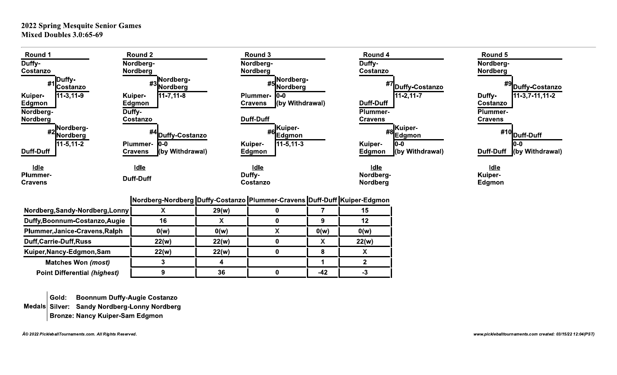2022 Spring Mesquite Senior Games Mixed Doubles 3.0:65-69

| Round 1<br>Duffy-                                             |        | Round 2<br>Nordberg-                                                     |       | <b>Round 3</b><br>Nordberg-                    |                 | Round 4<br>Duffy-                    |                         | Round 5<br>Nordberg-                                    |  |
|---------------------------------------------------------------|--------|--------------------------------------------------------------------------|-------|------------------------------------------------|-----------------|--------------------------------------|-------------------------|---------------------------------------------------------|--|
| Costanzo<br>Duffy-<br>#<br>Costanzo                           |        | Nordberg<br>Nordberg-<br>#3<br>Nordberg                                  |       | <b>Nordberg</b><br>Nordberg-<br>#5<br>Nordberg |                 | Costanzo<br>#7                       | Duffy-Costanzo          | Nordberg<br><sup>#9</sup> Duffy <u>-Costanzo</u>        |  |
| $\sqrt{11-3}$ , 11-9<br><b>Kuiper-</b><br>Edgmon<br>Nordberg- | Duffy- | $11 - 7, 11 - 8$<br><b>Kuiper-</b><br>Edgmon                             |       | $IO-0$<br><b>Plummer-</b><br><b>Cravens</b>    | (by Withdrawal) | Duff-Duff<br><b>Plummer-</b>         | $11 - 2, 11 - 7$        | 11-3,7-11,11-2<br>Duffy-<br>Costanzo<br><b>Plummer-</b> |  |
| Nordberg<br>Nordberg-<br>#:<br>Nordberg                       |        | Costanzo<br>#4<br>Duffy-Costanzo                                         |       | Duff-Duff<br><b>Kuiper-</b><br>#6I<br>Edgmon   |                 | <b>Cravens</b><br>#8                 | Kuiper-<br>Edgmon       | <b>Cravens</b><br>#10 Duf <u>f-Duff</u>                 |  |
| 11-5,11-2<br>Duff-Duff                                        |        | <b>Plummer-</b><br>$IO-0$<br>(by Withdrawal)<br><b>Cravens</b>           |       | $11 - 5, 11 - 3$<br><b>Kuiper-</b><br>Edgmon   |                 | Kuiper-<br>Edgmon                    | lo-0<br>(by Withdrawal) | IO-0<br>Duff-Duff<br>(by Withdrawal)                    |  |
| <u>Idle</u><br><b>Plummer-</b><br><b>Cravens</b>              |        | <u>Idle</u><br>Duff-Duff                                                 |       | <u>Idle</u><br>Duffy-<br><b>Costanzo</b>       |                 | <u>Idle</u><br>Nordberg-<br>Nordberg |                         | <u>Idle</u><br>Kuiper-<br>Edgmon                        |  |
|                                                               |        | Nordberg-Nordberg Duffy-Costanzo Plummer-Cravens Duff-Duff Kuiper-Edgmon |       |                                                |                 |                                      |                         |                                                         |  |
| Nordberg, Sandy-Nordberg, Lonny                               |        | X                                                                        | 29(w) | $\mathbf 0$                                    | 7               | 15                                   |                         |                                                         |  |
| Duffy, Boonnum-Costanzo, Augie                                |        | 16                                                                       | X     | 0                                              | 9               | 12                                   |                         |                                                         |  |
| Plummer, Janice-Cravens, Ralph                                |        | 0(w)                                                                     | 0(w)  | X                                              | 0(w)            | 0(w)                                 |                         |                                                         |  |
| Duff, Carrie-Duff, Russ                                       |        | 22(w)                                                                    | 22(w) | $\mathbf 0$                                    | X               | 22(w)                                |                         |                                                         |  |
| Kuiper, Nancy-Edgmon, Sam                                     |        | 22(w)                                                                    | 22(w) | $\mathbf 0$                                    | 8               | X                                    |                         |                                                         |  |
| <b>Matches Won (most)</b>                                     |        | 3                                                                        | 4     |                                                |                 | $\mathbf 2$                          |                         |                                                         |  |
| <b>Point Differential (highest)</b>                           |        | 9                                                                        | 36    | 0                                              | $-42$           | $-3$                                 |                         |                                                         |  |

Gold: Boonnum Duffy-Augie Costanzo Medals Silver: Sandy Nordberg-Lonny Nordberg **Bronze: Nancy Kuiper-Sam Edgmon** 

www.pickleballtournaments.com created: 03/15/22 12:04(PST)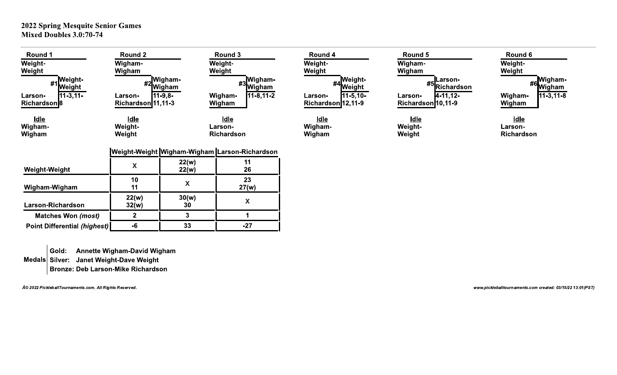### 2022 Spring Mesquite Senior Games Mixed Doubles 3.0:70-74

| <b>Round 1</b><br><b>Weight-</b><br>Weight                                       | <b>Round 2</b><br>Wigham-<br>Wigham                      |                      | Round 3<br>Weight-<br>Weight                                           | Round 4<br>Weight-<br>Weight                                                                | Round 5<br>Wigham-<br>Wigham                                               | Round 6<br>Weight-<br>Weight                                                  |
|----------------------------------------------------------------------------------|----------------------------------------------------------|----------------------|------------------------------------------------------------------------|---------------------------------------------------------------------------------------------|----------------------------------------------------------------------------|-------------------------------------------------------------------------------|
| <b>Weight-</b><br>#1 Weight<br>$11-3, 11-$<br>Larson-<br>Richardson <sup>8</sup> | #2 <mark>Wigham</mark><br>Larson-<br>Richardson 11, 11-3 | Wigham-<br>$11-9,8-$ | Wigham-<br>#3 <mark>Wigham</mark><br>Wigham-<br>$11-8, 11-2$<br>Wigham | <b>Weight-</b><br>#4 <mark>Weight</mark><br>$11 - 5, 10 -$<br>Larson-<br>Richardson 12,11-9 | Larson-<br>#5Richardson<br>$4 - 11, 12 -$<br>Larson-<br>Richardson 10,11-9 | <b>Wigham-</b><br>#6 <mark>Wigham</mark><br>$11-3, 11-8$<br>Wigham-<br>Wigham |
| <u>Idle</u><br>Wigham-<br>Wigham                                                 | <u>Idle</u><br><b>Weight-</b><br>Weight                  |                      | <b>Idle</b><br>Larson-<br><b>Richardson</b>                            | <b>Idle</b><br>Wigham-<br>Wigham                                                            | <u>Idle</u><br><b>Weight-</b><br>Weight                                    | <u>Idle</u><br>Larson-<br><b>Richardson</b>                                   |
|                                                                                  |                                                          |                      | Weight-Weight Wigham-Wigham Larson-Richardson                          |                                                                                             |                                                                            |                                                                               |
| <b>Weight-Weight</b>                                                             | $\pmb{\mathsf{X}}$                                       | 22(w)<br>22(w)       | 11<br>26                                                               |                                                                                             |                                                                            |                                                                               |
| Wigham-Wigham                                                                    | 10<br>11                                                 | X                    | 23<br>27(w)                                                            |                                                                                             |                                                                            |                                                                               |
| Larson-Richardson                                                                | 22(w)<br>32(w)                                           | 30(w)<br>30          | $\boldsymbol{\mathsf{X}}$                                              |                                                                                             |                                                                            |                                                                               |

Gold: Annette Wigham-David Wigham Medals Silver: Janet Weight-Dave Weight **Bronze: Deb Larson-Mike Richardson** 

 $\overline{2}$ 

 $-6$ 

 $3\phantom{a}$ 

33

 $\overline{1}$ 

 $-27$ 

© 2022 PickleballTournaments.com. All Rights Reserved.

**Matches Won (most)** 

**Point Differential (highest)** 

www.pickleballtournaments.com created: 03/15/22 13:01(PST)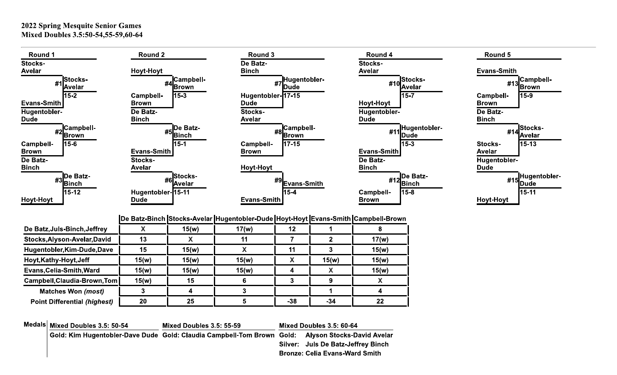### **2022 Spring Mesquite Senior Games** Mixed Doubles 3.5:50-54,55-59,60-64



|  |  | De Batz-Binch Stocks-Avelar Hugentobler-Dude Hoyt-Hoyt Evans-Smith Campbell-Brown |  |  |  |
|--|--|-----------------------------------------------------------------------------------|--|--|--|
|--|--|-----------------------------------------------------------------------------------|--|--|--|

| De Batz, Juls-Binch, Jeffrey        |       | 15(w) | 17(w) | 12    |       |       |
|-------------------------------------|-------|-------|-------|-------|-------|-------|
| Stocks, Alyson-Avelar, David        | 13    |       |       |       |       | 17(w) |
| Hugentobler, Kim-Dude, Dave         | 15    | 15(w) |       | 11    |       | 15(w) |
| Hoyt, Kathy-Hoyt, Jeff              | 15(w) | 15(w) | 15(w) |       | 15(w) | 15(w) |
| Evans, Celia-Smith, Ward            | 15(w) | 15(w) | 15(w) |       |       | 15(w) |
| Campbell, Claudia-Brown, Tom        | 15(w) | 15    |       |       |       |       |
| <b>Matches Won (most)</b>           |       |       |       |       |       |       |
| <b>Point Differential (highest)</b> | 20    | 25    |       | $-38$ | $-34$ |       |

**Medals** Mixed Doubles 3.5: 50-54

Mixed Doubles 3.5: 55-59

Mixed Doubles 3.5: 60-64

Gold: Kim Hugentobler-Dave Dude Gold: Claudia Campbell-Tom Brown

Gold: **Alyson Stocks-David Avelar** Silver: Juls De Batz-Jeffrey Binch **Bronze: Celia Evans-Ward Smith**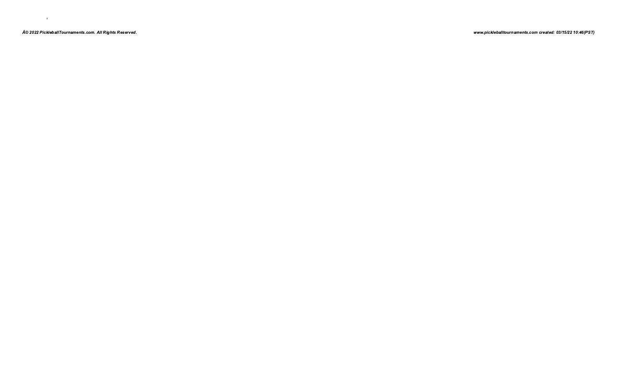$\mathbf{u}$ 

www.pickleballtournaments.com created: 03/15/22 10:46(PST)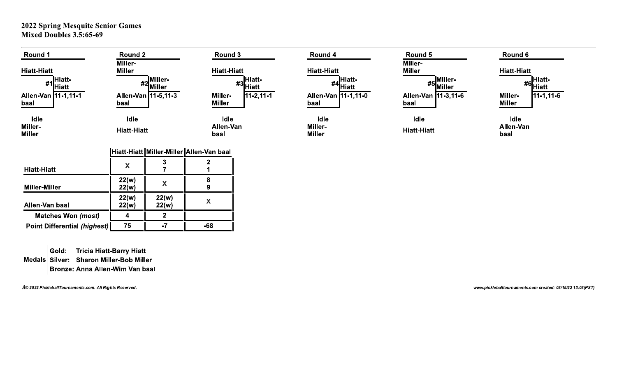### 2022 Spring Mesquite Senior Games Mixed Doubles 3.5:65-69

| Round 1                                 | Round 2                                     | Round 3                                  | Round 4                                 | Round 5                             | Round 6                                 |
|-----------------------------------------|---------------------------------------------|------------------------------------------|-----------------------------------------|-------------------------------------|-----------------------------------------|
| <b>Hiatt-Hiatt</b><br>Hiatt-            | Miller-<br><b>Miller</b><br><b>Miller-</b>  | <b>Hiatt-Hiatt</b><br>Hiatt-             | <b>Hiatt-Hiatt</b><br>Hiatt-            | Miller-<br><b>Miller</b><br>Miller- | <b>Hiatt-Hiatt</b><br>Hiatt-            |
| #1 Hiatt                                | #2 <b>Miller</b>                            | #3 Hi <u>at</u> t                        | #4 H <u>iat</u> t                       | #5<br>Miller <sup>'</sup>           | #6 <mark>l'</mark><br>H <u>iat</u> t    |
| Allen-Van 11-1,11-1<br>baal             | Allen-Van 11-5,11-3<br>baal                 | $11-2, 11-1$<br>Miller-<br><b>Miller</b> | Allen-Van 11-1,11-0<br>baal             | Allen-Van 11-3,11-6<br>baal         | $11 - 1, 11 - 6$<br>Miller-<br>Miller   |
| <u>Idle</u><br>Miller-<br><b>Miller</b> | <u>Idle</u><br><b>Hiatt-Hiatt</b>           | <u>Idle</u><br>Allen-Van<br>baal         | <u>Idle</u><br>Miller-<br><b>Miller</b> | <u>Idle</u><br><b>Hiatt-Hiatt</b>   | <u>Idle</u><br><b>Allen-Van</b><br>baal |
|                                         | Hiatt-Hiatt Miller-Miller Allen-Van baal    |                                          |                                         |                                     |                                         |
| <b>Hiatt-Hiatt</b>                      | 3<br>$\checkmark$<br>$\boldsymbol{\lambda}$ |                                          |                                         |                                     |                                         |
| <b>Miller-Miller</b>                    | 22(w)<br>$\boldsymbol{\mathsf{X}}$<br>22(w) | 8<br>9                                   |                                         |                                     |                                         |

Gold: Tricia Hiatt-Barry Hiatt Medals Silver: Sharon Miller-Bob Miller Bronze: Anna Allen-Wim Van baal

 $22(w)$ 

 $22(w)$ 

 $\overline{\mathbf{4}}$ 

75

 $22(w)$ 

 $22(w)$ 

 $\overline{2}$  $-7$   $\mathsf{X}$ 

 $-68$ 

© 2022 PickleballTournaments.com. All Rights Reserved.

Allen-Van baal

**Matches Won (most)** 

Point Differential (highest)

www.pickleballtournaments.com created: 03/15/22 13:03(PST)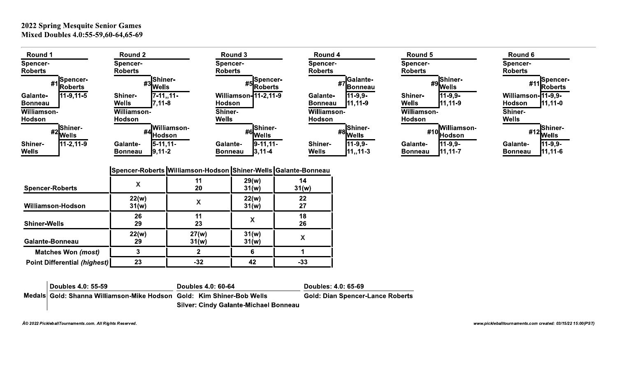### 2022 Spring Mesquite Senior Games Mixed Doubles 4.0:55-59,60-64,65-69

| <b>Round 1</b>                              | Round 2                                                  | Round 3                                                    | Round 4                                                   | Round 5                                                   | Round 6                                          |
|---------------------------------------------|----------------------------------------------------------|------------------------------------------------------------|-----------------------------------------------------------|-----------------------------------------------------------|--------------------------------------------------|
| Spencer-                                    | Spencer-                                                 | Spencer-                                                   | Spencer-                                                  | <b>Spencer-</b>                                           | Spencer-                                         |
| <b>Roberts</b>                              | <b>Roberts</b>                                           | <b>Roberts</b>                                             | <b>Roberts</b>                                            | <b>Roberts</b>                                            | <b>Roberts</b>                                   |
| <b>Spencer-</b><br>$^{#1}$ Roberts          | <b>Shiner-</b><br>#3 <mark>Wells</mark>                  | .Spencer-<br>#5 Roberts                                    | #7 <sup>Galante-</sup><br>Bonneau                         | #9Shiner-<br>Wells                                        | #11Spencer-<br><b>Roberts</b>                    |
| $11-9, 11-5$<br>Galante-                    | Shiner-<br>$7 - 11, 11 -$                                | <b>Williamson-11-2,11-9</b>                                | $11-9.9-$<br>Galante-                                     | <b>Shiner-</b><br>$111 - 9.9 -$                           | Williamson-111-9.9-                              |
| <b>Bonneau</b>                              | Wells<br>7,11-8                                          | Hodson                                                     | 11,11-9<br><b>Bonneau</b>                                 | <b>Wells</b><br>$11, 11-9$                                | Hodson<br>11,11-0                                |
| <b>Williamson-</b>                          | <b>Williamson-</b>                                       | <b>Shiner-</b>                                             | <b>Williamson-</b>                                        | <b>Williamson-</b>                                        | Shiner-                                          |
| Hodson                                      | Hodson                                                   | Wells                                                      | Hodson                                                    | Hodson                                                    | <b>Wells</b>                                     |
| #2Shiner-<br><sup>#2</sup> Wells            | <b>Williamson-</b><br>#4 Hodson                          | Shiner-<br>#6Vells                                         | <b>Shiner-</b><br>#8 <mark>Wells</mark>                   | .Williamson-<br>#10 Hodson                                | #12 <b>Shiner-</b><br>Wells                      |
| $11 - 2, 11 - 9$<br><b>Shiner-</b><br>Wells | $5-11,11-$<br>Galante-<br>$ 9, 11 - 2$<br><b>Bonneau</b> | $9-11, 11-$<br>Galante-<br><b>Bonneau</b><br>$ 3, 11 - 4 $ | <b>Shiner-</b><br>11-9.9-<br><b>Wells</b><br>$[11, 11-3]$ | $11 - 9.9 -$<br>Galante-<br>$111, 11-7$<br><b>Bonneau</b> | 11-9,9-<br>Galante-<br>11,11-6<br><b>Bonneau</b> |

## Spencer-Roberts Williamson-Hodson Shiner-Wells Galante-Bonneau

| <b>Spencer-Roberts</b>              |                | 29(w)<br>11<br>31(w)<br>20 |                | 14<br>31(w) |
|-------------------------------------|----------------|----------------------------|----------------|-------------|
| Williamson-Hodson                   | 22(w)<br>31(w) |                            | 22(w)<br>31(w) | 22<br>27    |
| <b>Shiner-Wells</b>                 | 26<br>29       | 11<br>23                   | Χ              | 18<br>26    |
| Galante-Bonneau                     | 22(w)<br>29    | 27(w)<br>31(w)             | 31(w)<br>31(w) |             |
| <b>Matches Won (most)</b>           |                |                            | 6              |             |
| <b>Point Differential (highest)</b> | 23             | $-32$                      | 42             | -33         |

Doubles 4.0: 55-59 Doubles 4.0: 60-64 Doubles: 4.0: 65-69 Medals Gold: Shanna Williamson-Mike Hodson Gold: Kim Shiner-Bob Wells **Gold: Dian Spencer-Lance Roberts Silver: Cindy Galante-Michael Bonneau** 

© 2022 PickleballTournaments.com. All Rights Reserved.

www.pickleballtournaments.com created: 03/15/22 15:00(PST)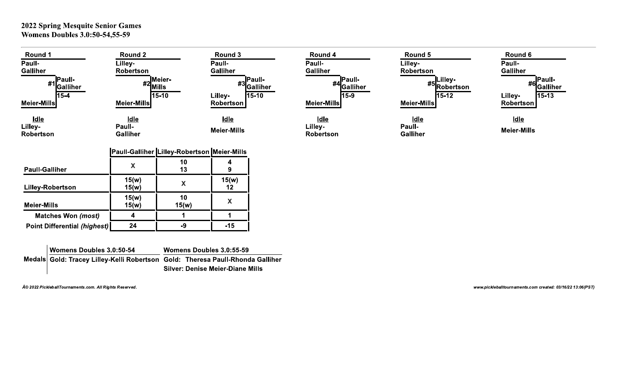

Womens Doubles 3.0:50-54 Womens Doubles 3.0:55-59<br>Medals Gold: Tracey Lilley-Kelli Robertson Gold: Theresa Paull-Rhonda Galliher<br>Silver: Denise Meier-Diane Mills<br>A© 2022 Pickleballfournaments.com. All Rights Reserved.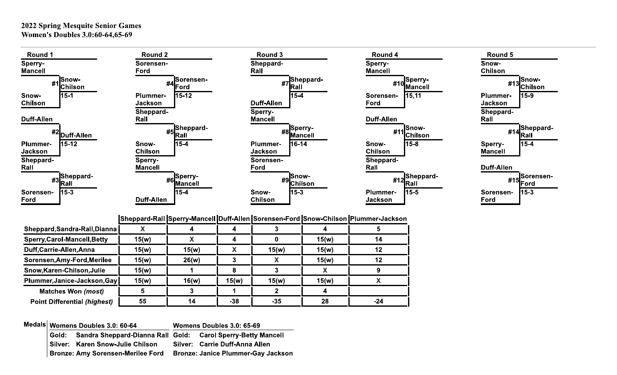### **2022 Spring Mesquite Senior Games Women's Doubles 3.0:60-64,65-69**



| - -   |       |       |       |       |     |
|-------|-------|-------|-------|-------|-----|
|       |       |       |       |       |     |
| 15(w) |       |       |       | 15(w) |     |
| 15(w) | 15(w) |       | 15(w) | 15(w) |     |
| 15(w) | 26(w) |       |       | 15(w) |     |
| 15(w) |       |       |       |       |     |
| 15(w) | 16(w) | 15(w) | 15(w) | 15(w) |     |
|       |       |       |       |       |     |
| 55    | 14    | -38   | -35   | 28    | -24 |
|       |       |       |       |       |     |

### Medals Womens Doubles 3.0: 60-64

Womens Doubles 3.0: 65-69

Sandra Sheppard-Dianna Rall Gold: **Carol Sperry-Betty Mancell** Gold:

Silver: Karen Snow-Julie Chilson Silver: Carrie Duff-Anna Allen

**Bronze: Amy Sorensen-Merilee Ford Bronze: Janice Plummer-Gay Jackson**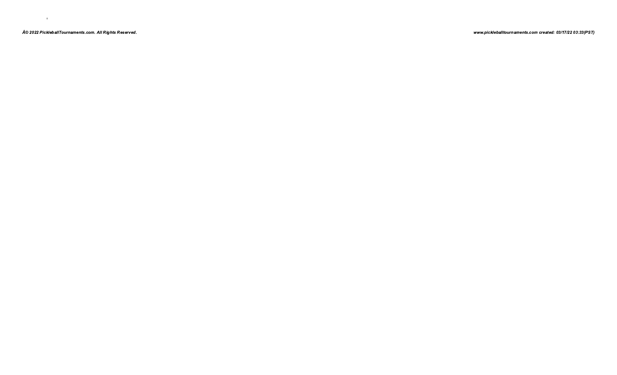$\mathbf{u}$ 

www.pickleballtournaments.com created: 03/17/22 03:33(PST)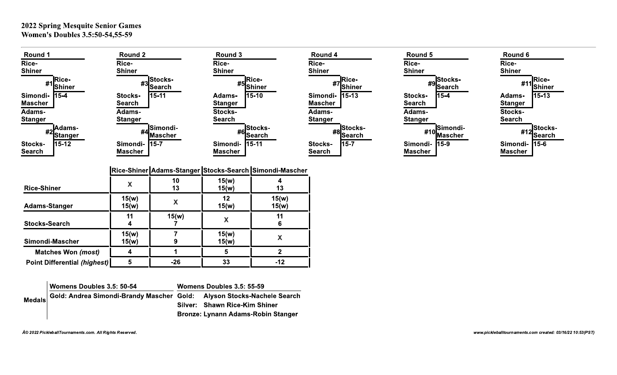### **2022 Spring Mesquite Senior Games Women's Doubles 3.5:50-54,55-59**



### Rice-Shiner Adams-Stanger Stocks-Search Simondi-Mascher

| <b>Rice-Shiner</b>           | X              | 10<br>13 | 15(w)<br>15(w) | 13             |
|------------------------------|----------------|----------|----------------|----------------|
| <b>Adams-Stanger</b>         | 15(w)<br>15(w) |          | 12<br>15(w)    | 15(w)<br>15(w) |
| <b>Stocks-Search</b>         | 11             | 15(w)    |                | 6              |
| Simondi-Mascher              | 15(w)<br>15(w) | 9        | 15(w)<br>15(w) |                |
| <b>Matches Won (most)</b>    |                |          | 5              |                |
| Point Differential (highest) | 5              | $-26$    | 33             | $-12$          |

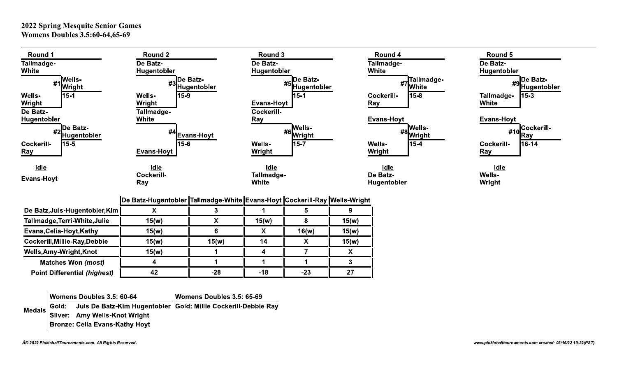### 2022 Spring Mesquite Senior Games **Womens Doubles 3.5:60-64,65-69**

| Round 1<br>Tallmadge-<br>White                                                                                      | Round 2<br>De Batz-<br>Hugentobler                                        |                                | Round 3<br>De Batz-<br>Hugentobler            |                                                               |       | Round 4<br>Tallmadge-<br>White                                                                            | Round 5<br>De Batz-<br>Hugentobler                                                     |
|---------------------------------------------------------------------------------------------------------------------|---------------------------------------------------------------------------|--------------------------------|-----------------------------------------------|---------------------------------------------------------------|-------|-----------------------------------------------------------------------------------------------------------|----------------------------------------------------------------------------------------|
| <b>Wells-</b><br>#1 <mark>Wright</mark><br>15-1<br><b>Wells-</b><br>Wright<br>De Batz-<br>Hugentobler<br>#2De Batz- | #3<br>$15-9$<br>Wells-<br>Wright<br>Tallmadge-<br>White                   | De Batz-<br><b>Hugentobler</b> | <b>Evans-Hoyt</b><br>Cockerill-<br><u>Ray</u> | De Batz-<br>#5<br><b>Hugentobler</b><br>15-1<br><b>Wells-</b> |       | Tallmadge-<br>#7<br>White<br>$15 - 8$<br>Cockerill-<br>Ray<br><b>Evans-Hoyt</b><br>#8 <mark>Mells-</mark> | De Batz-<br>#9I<br>Hugentobler<br>$15 - 3$<br>Tallmadge-<br>White<br><b>Evans-Hoyt</b> |
| <b>Hugentobler</b><br>$15 - 5$<br>Cockerill-<br>Ray                                                                 | $15 - 6$<br>Evans-Hoyt                                                    | #4 Ev <u>ans-Hoyt</u>          | Wells-<br>Wright                              | #6 <b>w</b> right#<br>$15 - 7$                                |       | Wright<br>$15 - 4$<br>Wells-<br>Wright                                                                    | #10 Cockerill-<br>Ray<br>$16-14$<br>Cockerill-<br>Ray                                  |
| <u>Idle</u><br><b>Evans-Hoyt</b>                                                                                    | <u>Idle</u><br>Cockerill-<br>Ray                                          |                                | <u>Idle</u><br>Tallmadge-<br><b>White</b>     |                                                               |       | <u>Idle</u><br>De Batz-<br>Hugentobler                                                                    | <u>Idle</u><br>Wells-<br>Wright                                                        |
|                                                                                                                     | De Batz-Hugentobler Tallmadge-White Evans-Hoyt Cockerill-Ray Wells-Wright |                                |                                               |                                                               |       |                                                                                                           |                                                                                        |
| De Batz, Juls-Hugentobler, Kim                                                                                      | $\boldsymbol{\mathsf{X}}$                                                 | $\mathbf{3}$                   |                                               | 5                                                             | 9     |                                                                                                           |                                                                                        |
| Tallmadge, Terri-White, Julie                                                                                       | 15(w)                                                                     | X                              | 15(w)                                         | 8                                                             | 15(w) |                                                                                                           |                                                                                        |
| Evans, Celia-Hoyt, Kathy                                                                                            | 15(w)                                                                     | 6                              | X                                             | 16(w)                                                         | 15(w) |                                                                                                           |                                                                                        |
| Cockerill, Millie-Ray, Debbie                                                                                       | 15(w)                                                                     | 15(w)                          | 14                                            | X                                                             | 15(w) |                                                                                                           |                                                                                        |
| Wells, Amy-Wright, Knot                                                                                             | 15(w)                                                                     |                                | 4                                             | $\overline{7}$                                                | X     |                                                                                                           |                                                                                        |
| <b>Matches Won (most)</b>                                                                                           | 4                                                                         |                                |                                               |                                                               | 3     |                                                                                                           |                                                                                        |
| <b>Point Differential (highest)</b>                                                                                 | 42                                                                        | $-28$                          | $-18$                                         | $-23$                                                         | 27    |                                                                                                           |                                                                                        |

Womens Doubles 3.5: 60-64

Womens Doubles 3.5: 65-69

Gold: Juls De Batz-Kim Hugentobler Gold: Millie Cockerill-Debbie Ray **Medals** Silver: Amy Wells-Knot Wright **Bronze: Celia Evans-Kathy Hoyt**